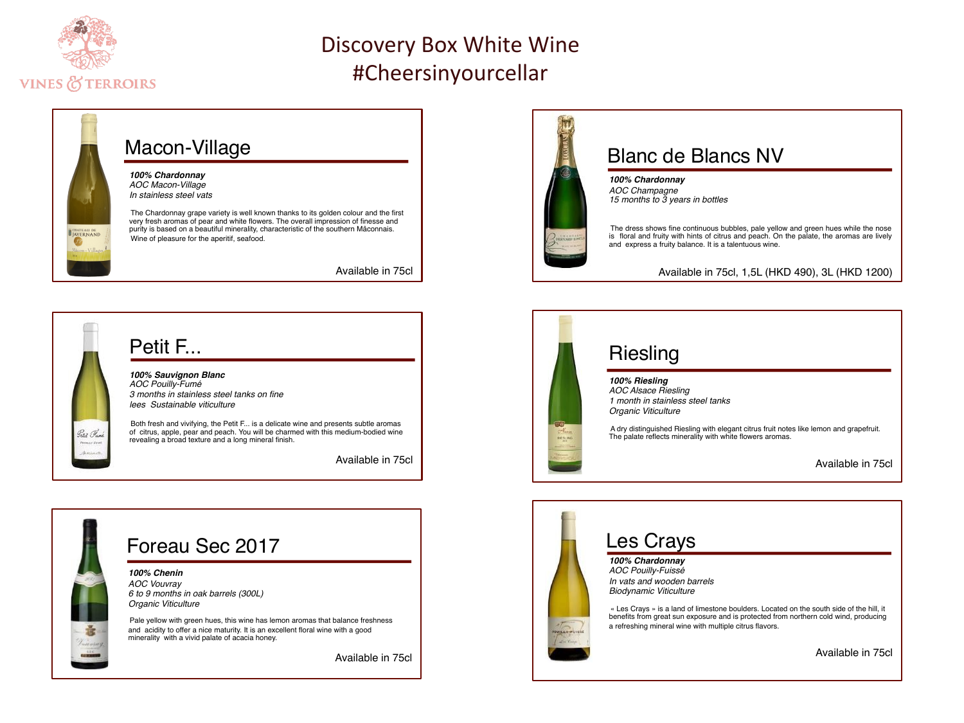

# Discovery Box White Wine #Cheersinyourcellar



## Macon-Village

*100% Chardonnay AOC Macon-Village In stainless steel vats*

The Chardonnay grape variety is well known thanks to its golden colour and the first very fresh aromas of pear and white flowers. The overall impression of finesse and purity is based on a beautiful minerality, characteristic of the southern Mâconnais. Wine of pleasure for the aperitif, seafood.

Available in 75cl



### Petit F...

*100% Sauvignon Blanc AOC Pouilly-Fumé 3 months in stainless steel tanks on fine lees Sustainable viticulture*

Both fresh and vivifying, the Petit F... is a delicate wine and presents subtle aromas of citrus, apple, pear and peach. You will be charmed with this medium-bodied wine revealing a broad texture and a long mineral finish.

Available in 75cl



### Foreau Sec 2017

*100% Chenin AOC Vouvray 6 to 9 months in oak barrels (300L) Organic Viticulture*

Pale yellow with green hues, this wine has lemon aromas that balance freshness and acidity to offer a nice maturity. It is an excellent floral wine with a good minerality with a vivid palate of acacia honey.

Available in 75cl





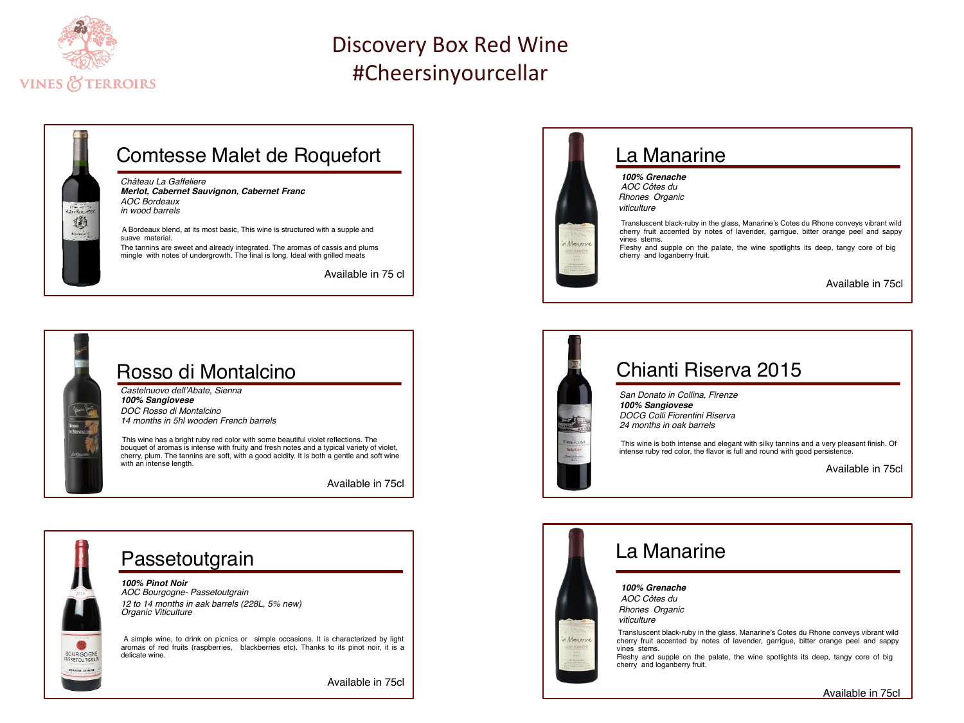

## Discovery Box Red Wine #Cheersinyourcellar



#### Rosso di Montalcino

*Castelnuovo dell'Abate, Sienna 100% Sangiovese*

*DOC Rosso di Montalcino 14 months in 5hl wooden French barrels*

This wine has a bright ruby red color with some beautiful violet reflections. The bouquet of aromas is intense with fruity and fresh notes and a typical variety of violet, cherry, plum. The tannins are soft, with a good acidity. It is both a gentle and soft wine with an intense length.

Available in 75cl



#### Passetoutgrain

*100% Pinot Noir AOC Bourgogne- Passetoutgrain 12 to 14 months in aak barrels (228L, 5% new) Organic Viticulture*

A simple wine, to drink on picnics or simple occasions. It is characterized by light aromas of red fruits (raspberries, blackberries etc). Thanks to its pinot noir, it is a delicate wine.

Available in 75cl





## Chianti Riserva 2015

*San Donato in Collina, Firenze 100% Sangiovese DOCG Colli Fiorentini Riserva* 

*24 months in oak barrels*

This wine is both intense and elegant with silky tannins and a very pleasant finish. Of intense ruby red color, the flavor is full and round with good persistence.

Available in 75cl